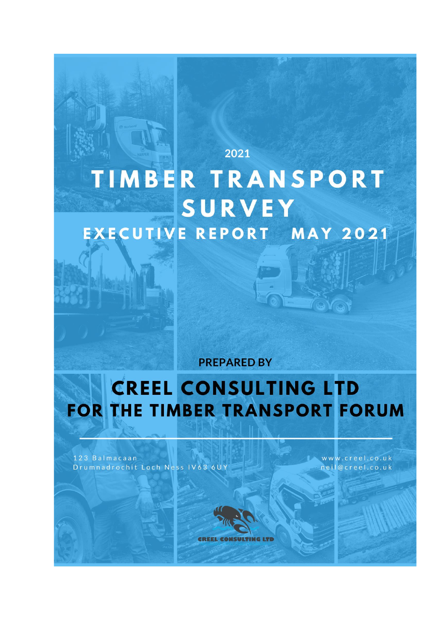# 2021 TIMBER TRANSPORT **SURVEY EXECUTIVE REPORT MAY 2021**

**PREPARED BY** 

## **CREEL CONSULTING LTD** FOR THE TIMBER TRANSPORT FORUM

123 Balmacaan Drumnadrochit Loch Ness IV63 6UY www.creel.co.uk neil@creel.co.uk

TOYO

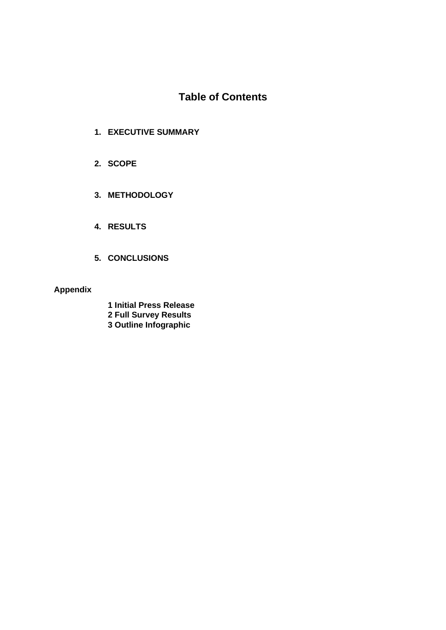### **Table of Contents**

- **1. EXECUTIVE SUMMARY**
- **2. SCOPE**
- **3. METHODOLOGY**
- **4. RESULTS**
- **5. CONCLUSIONS**

#### **Appendix**

- **1 Initial Press Release**
- **2 Full Survey Results**
- **3 Outline Infographic**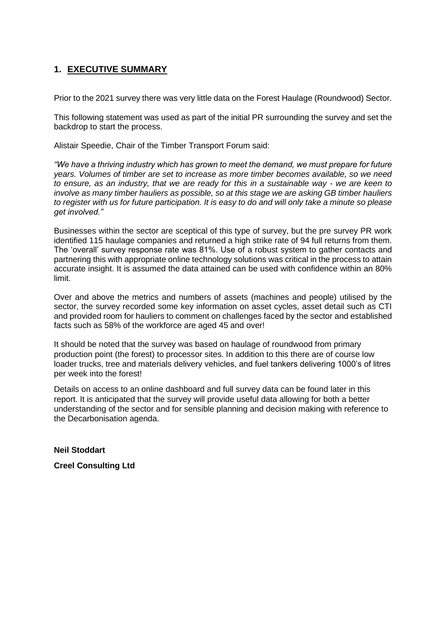#### **1. EXECUTIVE SUMMARY**

Prior to the 2021 survey there was very little data on the Forest Haulage (Roundwood) Sector.

This following statement was used as part of the initial PR surrounding the survey and set the backdrop to start the process.

Alistair Speedie, Chair of the Timber Transport Forum said:

*"We have a thriving industry which has grown to meet the demand, we must prepare for future years. Volumes of timber are set to increase as more timber becomes available, so we need to ensure, as an industry, that we are ready for this in a sustainable way - we are keen to involve as many timber hauliers as possible, so at this stage we are asking GB timber hauliers to register with us for future participation. It is easy to do and will only take a minute so please get involved."*

Businesses within the sector are sceptical of this type of survey, but the pre survey PR work identified 115 haulage companies and returned a high strike rate of 94 full returns from them. The 'overall' survey response rate was 81%. Use of a robust system to gather contacts and partnering this with appropriate online technology solutions was critical in the process to attain accurate insight. It is assumed the data attained can be used with confidence within an 80% limit.

Over and above the metrics and numbers of assets (machines and people) utilised by the sector, the survey recorded some key information on asset cycles, asset detail such as CTI and provided room for hauliers to comment on challenges faced by the sector and established facts such as 58% of the workforce are aged 45 and over!

It should be noted that the survey was based on haulage of roundwood from primary production point (the forest) to processor sites. In addition to this there are of course low loader trucks, tree and materials delivery vehicles, and fuel tankers delivering 1000's of litres per week into the forest!

Details on access to an online dashboard and full survey data can be found later in this report. It is anticipated that the survey will provide useful data allowing for both a better understanding of the sector and for sensible planning and decision making with reference to the Decarbonisation agenda.

**Neil Stoddart** 

**Creel Consulting Ltd**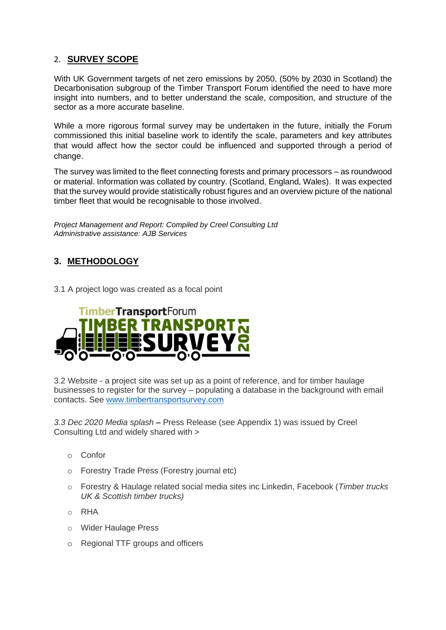#### 2. **SURVEY SCOPE**

With UK Government targets of net zero emissions by 2050, (50% by 2030 in Scotland) the Decarbonisation subgroup of the Timber Transport Forum identified the need to have more insight into numbers, and to better understand the scale, composition, and structure of the sector as a more accurate baseline.

While a more rigorous formal survey may be undertaken in the future, initially the Forum commissioned this initial baseline work to identify the scale, parameters and key attributes that would affect how the sector could be influenced and supported through a period of change.

The survey was limited to the fleet connecting forests and primary processors – as roundwood or material. Information was collated by country. (Scotland, England, Wales). It was expected that the survey would provide statistically robust figures and an overview picture of the national timber fleet that would be recognisable to those involved.

*Project Management and Report: Compiled by Creel Consulting Ltd Administrative assistance: AJB Services*

#### **3. METHODOLOGY**

3.1 A project logo was created as a focal point



3.2 Website - a project site was set up as a point of reference, and for timber haulage businesses to register for the survey – populating a database in the background with email contacts. See [www.timbertransportsurvey.com](http://www.timbertransportsurvey.com/) 

*3.3 Dec 2020 Media splash* **–** Press Release (see Appendix 1) was issued by Creel Consulting Ltd and widely shared with >

- o Confor
- o Forestry Trade Press (Forestry journal etc)
- o Forestry & Haulage related social media sites inc Linkedin, Facebook (*Timber trucks UK & Scottish timber trucks)*
- o RHA
- o Wider Haulage Press
- o Regional TTF groups and officers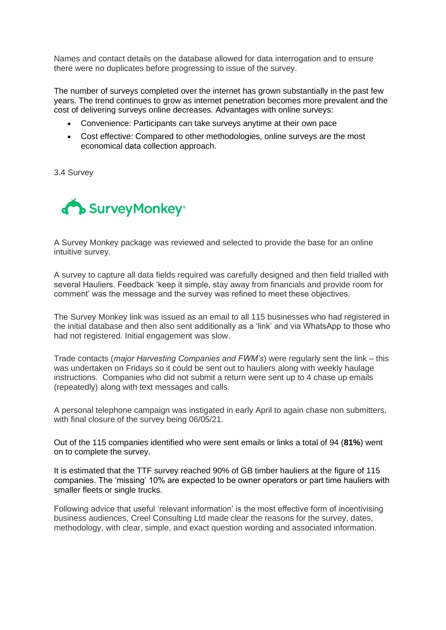Names and contact details on the database allowed for data interrogation and to ensure there were no duplicates before progressing to issue of the survey.

The number of surveys completed over the internet has grown substantially in the past few years. The trend continues to grow as internet penetration becomes more prevalent and the cost of delivering surveys online decreases. Advantages with online surveys:

- Convenience: Participants can take surveys anytime at their own pace
- Cost effective: Compared to other methodologies, online surveys are the most economical data collection approach.

3.4 Survey



A Survey Monkey package was reviewed and selected to provide the base for an online intuitive survey.

A survey to capture all data fields required was carefully designed and then field trialled with several Hauliers. Feedback 'keep it simple, stay away from financials and provide room for comment' was the message and the survey was refined to meet these objectives.

The Survey Monkey link was issued as an email to all 115 businesses who had registered in the initial database and then also sent additionally as a 'link' and via WhatsApp to those who had not registered. Initial engagement was slow.

Trade contacts (*major Harvesting Companies and FWM's*) were regularly sent the link – this was undertaken on Fridays so it could be sent out to hauliers along with weekly haulage instructions. Companies who did not submit a return were sent up to 4 chase up emails (repeatedly) along with text messages and calls.

A personal telephone campaign was instigated in early April to again chase non submitters, with final closure of the survey being 06/05/21.

Out of the 115 companies identified who were sent emails or links a total of 94 (**81%**) went on to complete the survey.

It is estimated that the TTF survey reached 90% of GB timber hauliers at the figure of 115 companies. The 'missing' 10% are expected to be owner operators or part time hauliers with smaller fleets or single trucks.

Following advice that useful 'relevant information' is the most effective form of incentivising business audiences, Creel Consulting Ltd made clear the reasons for the survey, dates, methodology, with clear, simple, and exact question wording and associated information.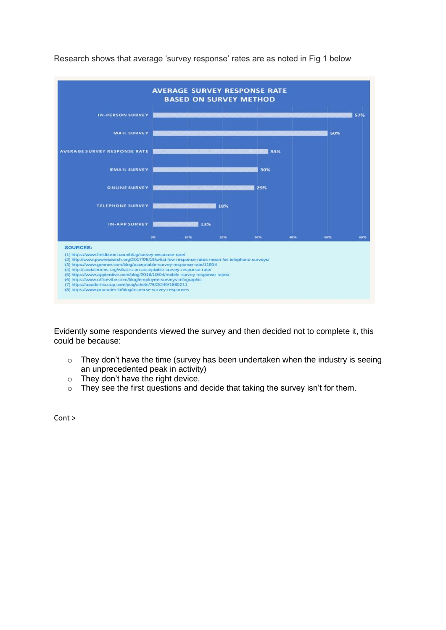

Research shows that average 'survey response' rates are as noted in Fig 1 below

Evidently some respondents viewed the survey and then decided not to complete it, this could be because:

- o They don't have the time (survey has been undertaken when the industry is seeing an unprecedented peak in activity)
- o They don't have the right device.
- o They see the first questions and decide that taking the survey isn't for them.

Cont >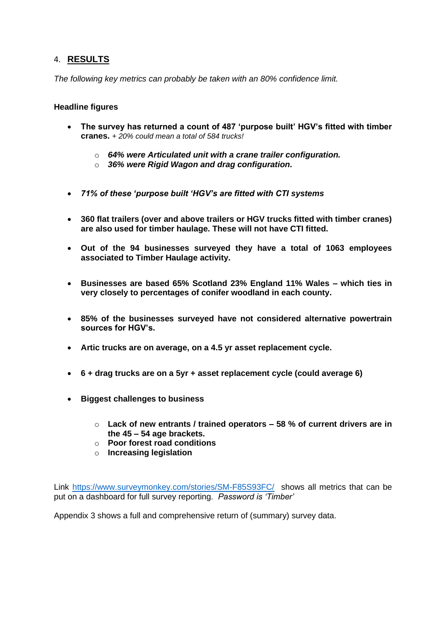#### 4. **RESULTS**

*The following key metrics can probably be taken with an 80% confidence limit.* 

#### **Headline figures**

- **The survey has returned a count of 487 'purpose built' HGV's fitted with timber cranes.** *+ 20% could mean a total of 584 trucks!*
	- o *64% were Articulated unit with a crane trailer configuration.*
	- o *36% were Rigid Wagon and drag configuration.*
- *71% of these 'purpose built 'HGV's are fitted with CTI systems*
- **360 flat trailers (over and above trailers or HGV trucks fitted with timber cranes) are also used for timber haulage. These will not have CTI fitted.**
- **Out of the 94 businesses surveyed they have a total of 1063 employees associated to Timber Haulage activity.**
- **Businesses are based 65% Scotland 23% England 11% Wales – which ties in very closely to percentages of conifer woodland in each county.**
- **85% of the businesses surveyed have not considered alternative powertrain sources for HGV's.**
- **Artic trucks are on average, on a 4.5 yr asset replacement cycle.**
- **6 + drag trucks are on a 5yr + asset replacement cycle (could average 6)**
- **Biggest challenges to business** 
	- o **Lack of new entrants / trained operators – 58 % of current drivers are in the 45 – 54 age brackets.**
	- o **Poor forest road conditions**
	- o **Increasing legislation**

Link<https://www.surveymonkey.com/stories/SM-F85S93FC/>shows all metrics that can be put on a dashboard for full survey reporting. *Password is 'Timber'*

Appendix 3 shows a full and comprehensive return of (summary) survey data.